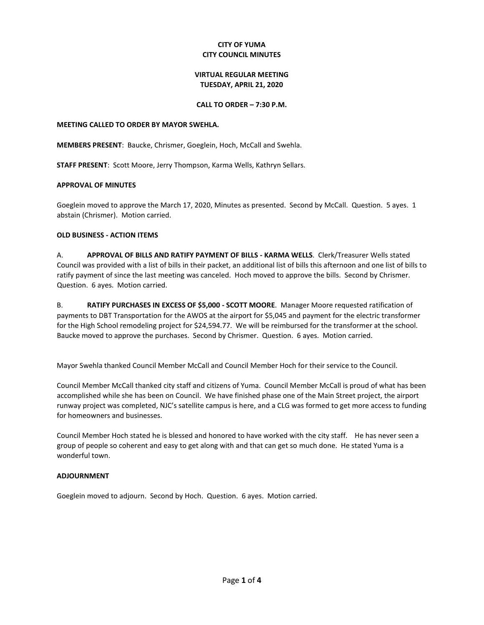### **CITY OF YUMA CITY COUNCIL MINUTES**

# **VIRTUAL REGULAR MEETING TUESDAY, APRIL 21, 2020**

### **CALL TO ORDER – 7:30 P.M.**

### **MEETING CALLED TO ORDER BY MAYOR SWEHLA.**

**MEMBERS PRESENT**: Baucke, Chrismer, Goeglein, Hoch, McCall and Swehla.

**STAFF PRESENT**: Scott Moore, Jerry Thompson, Karma Wells, Kathryn Sellars.

### **APPROVAL OF MINUTES**

Goeglein moved to approve the March 17, 2020, Minutes as presented. Second by McCall. Question. 5 ayes. 1 abstain (Chrismer). Motion carried.

### **OLD BUSINESS - ACTION ITEMS**

A. **APPROVAL OF BILLS AND RATIFY PAYMENT OF BILLS - KARMA WELLS**. Clerk/Treasurer Wells stated Council was provided with a list of bills in their packet, an additional list of bills this afternoon and one list of bills to ratify payment of since the last meeting was canceled. Hoch moved to approve the bills. Second by Chrismer. Question. 6 ayes. Motion carried.

B. **RATIFY PURCHASES IN EXCESS OF \$5,000 - SCOTT MOORE**. Manager Moore requested ratification of payments to DBT Transportation for the AWOS at the airport for \$5,045 and payment for the electric transformer for the High School remodeling project for \$24,594.77. We will be reimbursed for the transformer at the school. Baucke moved to approve the purchases. Second by Chrismer. Question. 6 ayes. Motion carried.

Mayor Swehla thanked Council Member McCall and Council Member Hoch for their service to the Council.

Council Member McCall thanked city staff and citizens of Yuma. Council Member McCall is proud of what has been accomplished while she has been on Council. We have finished phase one of the Main Street project, the airport runway project was completed, NJC's satellite campus is here, and a CLG was formed to get more access to funding for homeowners and businesses.

Council Member Hoch stated he is blessed and honored to have worked with the city staff. He has never seen a group of people so coherent and easy to get along with and that can get so much done. He stated Yuma is a wonderful town.

### **ADJOURNMENT**

Goeglein moved to adjourn. Second by Hoch. Question. 6 ayes. Motion carried.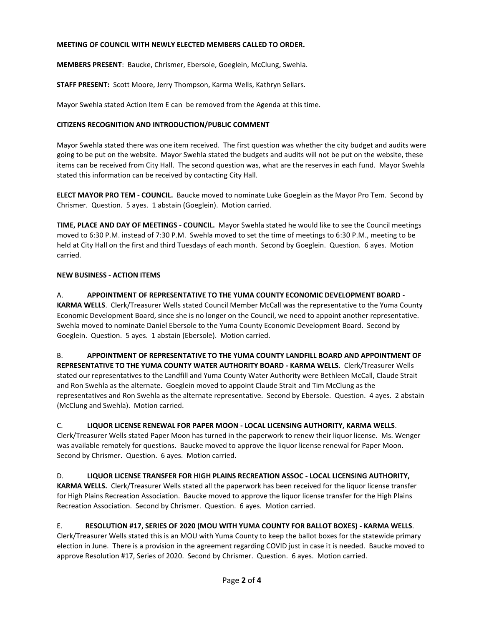### **MEETING OF COUNCIL WITH NEWLY ELECTED MEMBERS CALLED TO ORDER.**

**MEMBERS PRESENT**: Baucke, Chrismer, Ebersole, Goeglein, McClung, Swehla.

**STAFF PRESENT:** Scott Moore, Jerry Thompson, Karma Wells, Kathryn Sellars.

Mayor Swehla stated Action Item E can be removed from the Agenda at this time.

### **CITIZENS RECOGNITION AND INTRODUCTION/PUBLIC COMMENT**

Mayor Swehla stated there was one item received. The first question was whether the city budget and audits were going to be put on the website. Mayor Swehla stated the budgets and audits will not be put on the website, these items can be received from City Hall. The second question was, what are the reserves in each fund. Mayor Swehla stated this information can be received by contacting City Hall.

**ELECT MAYOR PRO TEM - COUNCIL.** Baucke moved to nominate Luke Goeglein as the Mayor Pro Tem. Second by Chrismer. Question. 5 ayes. 1 abstain (Goeglein). Motion carried.

**TIME, PLACE AND DAY OF MEETINGS - COUNCIL.** Mayor Swehla stated he would like to see the Council meetings moved to 6:30 P.M. instead of 7:30 P.M. Swehla moved to set the time of meetings to 6:30 P.M., meeting to be held at City Hall on the first and third Tuesdays of each month. Second by Goeglein. Question. 6 ayes. Motion carried.

### **NEW BUSINESS - ACTION ITEMS**

### A. **APPOINTMENT OF REPRESENTATIVE TO THE YUMA COUNTY ECONOMIC DEVELOPMENT BOARD -**

**KARMA WELLS**. Clerk/Treasurer Wells stated Council Member McCall was the representative to the Yuma County Economic Development Board, since she is no longer on the Council, we need to appoint another representative. Swehla moved to nominate Daniel Ebersole to the Yuma County Economic Development Board. Second by Goeglein. Question. 5 ayes. 1 abstain (Ebersole). Motion carried.

B. **APPOINTMENT OF REPRESENTATIVE TO THE YUMA COUNTY LANDFILL BOARD AND APPOINTMENT OF REPRESENTATIVE TO THE YUMA COUNTY WATER AUTHORITY BOARD - KARMA WELLS**. Clerk/Treasurer Wells stated our representatives to the Landfill and Yuma County Water Authority were Bethleen McCall, Claude Strait and Ron Swehla as the alternate. Goeglein moved to appoint Claude Strait and Tim McClung as the representatives and Ron Swehla as the alternate representative. Second by Ebersole. Question. 4 ayes. 2 abstain (McClung and Swehla). Motion carried.

### C. **LIQUOR LICENSE RENEWAL FOR PAPER MOON - LOCAL LICENSING AUTHORITY, KARMA WELLS**.

Clerk/Treasurer Wells stated Paper Moon has turned in the paperwork to renew their liquor license. Ms. Wenger was available remotely for questions. Baucke moved to approve the liquor license renewal for Paper Moon. Second by Chrismer. Question. 6 ayes. Motion carried.

# D. **LIQUOR LICENSE TRANSFER FOR HIGH PLAINS RECREATION ASSOC - LOCAL LICENSING AUTHORITY,**

**KARMA WELLS.** Clerk/Treasurer Wells stated all the paperwork has been received for the liquor license transfer for High Plains Recreation Association. Baucke moved to approve the liquor license transfer for the High Plains Recreation Association. Second by Chrismer. Question. 6 ayes. Motion carried.

# E. **RESOLUTION #17, SERIES OF 2020 (MOU WITH YUMA COUNTY FOR BALLOT BOXES) - KARMA WELLS**.

Clerk/Treasurer Wells stated this is an MOU with Yuma County to keep the ballot boxes for the statewide primary election in June. There is a provision in the agreement regarding COVID just in case it is needed. Baucke moved to approve Resolution #17, Series of 2020. Second by Chrismer. Question. 6 ayes. Motion carried.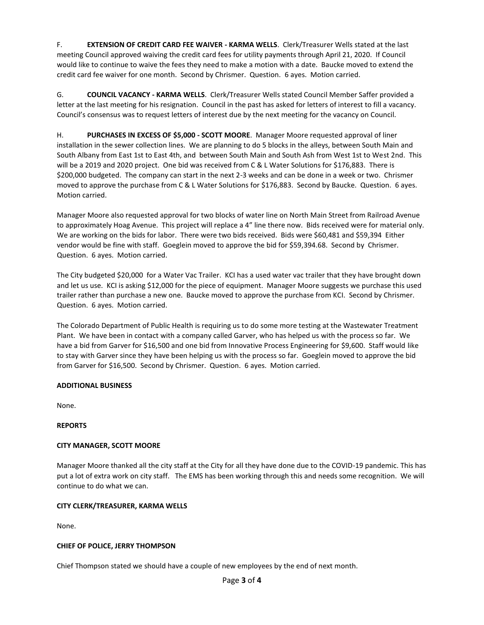F. **EXTENSION OF CREDIT CARD FEE WAIVER - KARMA WELLS**. Clerk/Treasurer Wells stated at the last meeting Council approved waiving the credit card fees for utility payments through April 21, 2020. If Council would like to continue to waive the fees they need to make a motion with a date. Baucke moved to extend the credit card fee waiver for one month. Second by Chrismer. Question. 6 ayes. Motion carried.

G. **COUNCIL VACANCY - KARMA WELLS**. Clerk/Treasurer Wells stated Council Member Saffer provided a letter at the last meeting for his resignation. Council in the past has asked for letters of interest to fill a vacancy. Council's consensus was to request letters of interest due by the next meeting for the vacancy on Council.

H. **PURCHASES IN EXCESS OF \$5,000 - SCOTT MOORE**. Manager Moore requested approval of liner installation in the sewer collection lines. We are planning to do 5 blocks in the alleys, between South Main and South Albany from East 1st to East 4th, and between South Main and South Ash from West 1st to West 2nd. This will be a 2019 and 2020 project. One bid was received from C & L Water Solutions for \$176,883. There is \$200,000 budgeted. The company can start in the next 2-3 weeks and can be done in a week or two. Chrismer moved to approve the purchase from C & L Water Solutions for \$176,883. Second by Baucke. Question. 6 ayes. Motion carried.

Manager Moore also requested approval for two blocks of water line on North Main Street from Railroad Avenue to approximately Hoag Avenue. This project will replace a 4" line there now. Bids received were for material only. We are working on the bids for labor. There were two bids received. Bids were \$60,481 and \$59,394 Either vendor would be fine with staff. Goeglein moved to approve the bid for \$59,394.68. Second by Chrismer. Question. 6 ayes. Motion carried.

The City budgeted \$20,000 for a Water Vac Trailer. KCI has a used water vac trailer that they have brought down and let us use. KCI is asking \$12,000 for the piece of equipment. Manager Moore suggests we purchase this used trailer rather than purchase a new one. Baucke moved to approve the purchase from KCI. Second by Chrismer. Question. 6 ayes. Motion carried.

The Colorado Department of Public Health is requiring us to do some more testing at the Wastewater Treatment Plant. We have been in contact with a company called Garver, who has helped us with the process so far. We have a bid from Garver for \$16,500 and one bid from Innovative Process Engineering for \$9,600. Staff would like to stay with Garver since they have been helping us with the process so far. Goeglein moved to approve the bid from Garver for \$16,500. Second by Chrismer. Question. 6 ayes. Motion carried.

# **ADDITIONAL BUSINESS**

None.

# **REPORTS**

# **CITY MANAGER, SCOTT MOORE**

Manager Moore thanked all the city staff at the City for all they have done due to the COVID-19 pandemic. This has put a lot of extra work on city staff. The EMS has been working through this and needs some recognition. We will continue to do what we can.

### **CITY CLERK/TREASURER, KARMA WELLS**

None.

### **CHIEF OF POLICE, JERRY THOMPSON**

Chief Thompson stated we should have a couple of new employees by the end of next month.